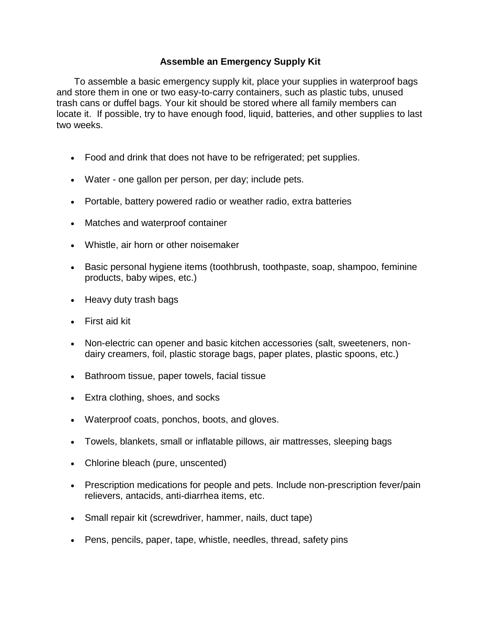## **Assemble an Emergency Supply Kit**

To assemble a basic emergency supply kit, place your supplies in waterproof bags and store them in one or two easy-to-carry containers, such as plastic tubs, unused trash cans or duffel bags. Your kit should be stored where all family members can locate it. If possible, try to have enough food, liquid, batteries, and other supplies to last two weeks.

- Food and drink that does not have to be refrigerated; pet supplies.
- Water one gallon per person, per day; include pets.
- Portable, battery powered radio or weather radio, extra batteries
- Matches and waterproof container
- Whistle, air horn or other noisemaker
- Basic personal hygiene items (toothbrush, toothpaste, soap, shampoo, feminine products, baby wipes, etc.)
- Heavy duty trash bags
- First aid kit
- Non-electric can opener and basic kitchen accessories (salt, sweeteners, nondairy creamers, foil, plastic storage bags, paper plates, plastic spoons, etc.)
- Bathroom tissue, paper towels, facial tissue
- Extra clothing, shoes, and socks
- Waterproof coats, ponchos, boots, and gloves.
- Towels, blankets, small or inflatable pillows, air mattresses, sleeping bags
- Chlorine bleach (pure, unscented)
- Prescription medications for people and pets. Include non-prescription fever/pain relievers, antacids, anti-diarrhea items, etc.
- Small repair kit (screwdriver, hammer, nails, duct tape)
- Pens, pencils, paper, tape, whistle, needles, thread, safety pins